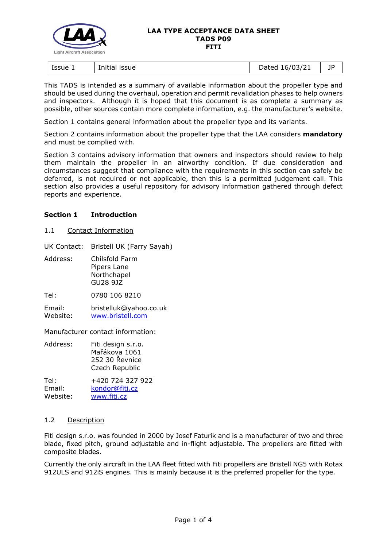

| Issue 1 | <b>ISSUE</b> | 16/03/21 | 1P |
|---------|--------------|----------|----|
|         | Initial      | Dated    |    |

This TADS is intended as a summary of available information about the propeller type and should be used during the overhaul, operation and permit revalidation phases to help owners and inspectors. Although it is hoped that this document is as complete a summary as possible, other sources contain more complete information, e.g. the manufacturer's website.

Section 1 contains general information about the propeller type and its variants.

Section 2 contains information about the propeller type that the LAA considers **mandatory** and must be complied with.

Section 3 contains advisory information that owners and inspectors should review to help them maintain the propeller in an airworthy condition. If due consideration and circumstances suggest that compliance with the requirements in this section can safely be deferred, is not required or not applicable, then this is a permitted judgement call. This section also provides a useful repository for advisory information gathered through defect reports and experience.

## **Section 1 Introduction**

1.1 Contact Information

UK Contact: Bristell UK (Farry Sayah)

| Address: | Chilsfold Farm |  |
|----------|----------------|--|
|          | Pipers Lane    |  |
|          | Northchapel    |  |
|          | GU28 9JZ       |  |
|          |                |  |

Tel: 0780 106 8210

Email: bristelluk@yahoo.co.uk Website: [www.bristell.com](https://www.bristell.com/)

Manufacturer contact information:

| Address: | Fiti design s.r.o. |
|----------|--------------------|
|          | Mařákova 1061      |
|          | 252 30 Řevnice     |
|          | Czech Republic     |
|          |                    |

Tel: +420 724 327 922 Email: [kondor@fiti.cz](mailto:kondor@fiti.cz) Website: [www.fiti.cz](http://www.fiti.cz/en/)

## 1.2 Description

Fiti design s.r.o. was founded in 2000 by Josef Faturik and is a manufacturer of two and three blade, fixed pitch, ground adjustable and in-flight adjustable. The propellers are fitted with composite blades.

Currently the only aircraft in the LAA fleet fitted with Fiti propellers are Bristell NG5 with Rotax 912ULS and 912iS engines. This is mainly because it is the preferred propeller for the type.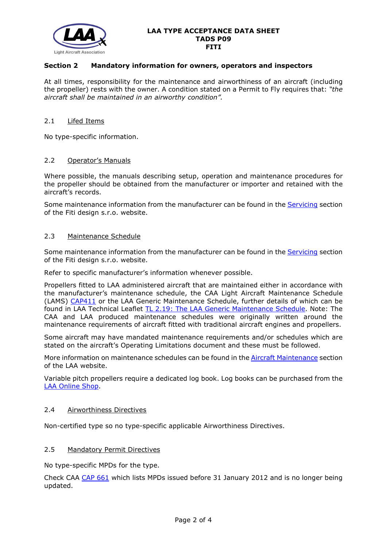

## **Section 2 Mandatory information for owners, operators and inspectors**

At all times, responsibility for the maintenance and airworthiness of an aircraft (including the propeller) rests with the owner. A condition stated on a Permit to Fly requires that: *"the aircraft shall be maintained in an airworthy condition".* 

### 2.1 Lifed Items

No type-specific information.

### 2.2 Operator's Manuals

Where possible, the manuals describing setup, operation and maintenance procedures for the propeller should be obtained from the manufacturer or importer and retained with the aircraft's records.

Some maintenance information from the manufacturer can be found in the [Servicing](http://www.fiti.cz/en/servicing/) section of the Fiti design s.r.o. website.

### 2.3 Maintenance Schedule

Some maintenance information from the manufacturer can be found in the [Servicing](http://www.fiti.cz/en/servicing/) section of the Fiti design s.r.o. website.

Refer to specific manufacturer's information whenever possible.

Propellers fitted to LAA administered aircraft that are maintained either in accordance with the manufacturer's maintenance schedule, the CAA Light Aircraft Maintenance Schedule (LAMS) [CAP411](http://www.caa.co.uk/CAP411) or the LAA Generic Maintenance Schedule, further details of which can be found in LAA Technical Leaflet [TL 2.19: The LAA Generic Maintenance Schedule.](http://www.lightaircraftassociation.co.uk/engineering/TechnicalLeaflets/Operating%20An%20Aircraft/TL%202.19%20The%20LAA%20Generic%20Maintenance%20Schedule.pdf) Note: The CAA and LAA produced maintenance schedules were originally written around the maintenance requirements of aircraft fitted with traditional aircraft engines and propellers.

Some aircraft may have mandated maintenance requirements and/or schedules which are stated on the aircraft's Operating Limitations document and these must be followed.

More information on maintenance schedules can be found in the **Aircraft Maintenance** section of the LAA website.

Variable pitch propellers require a dedicated log book. Log books can be purchased from the [LAA Online Shop.](https://services.lightaircraftassociation.co.uk/catalog/265)

#### 2.4 Airworthiness Directives

Non-certified type so no type-specific applicable Airworthiness Directives.

### 2.5 Mandatory Permit Directives

No type-specific MPDs for the type.

Check CAA [CAP 661](http://www.caa.co.uk/cap661) which lists MPDs issued before 31 January 2012 and is no longer being updated.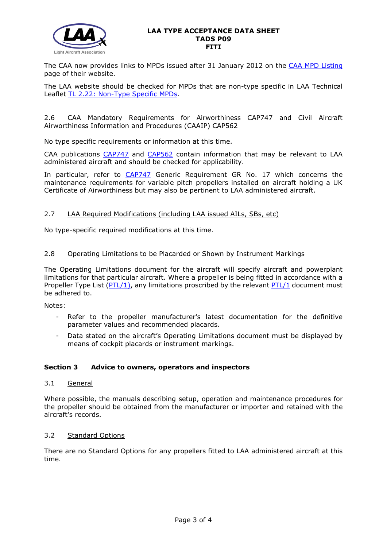

The CAA now provides links to MPDs issued after 31 January 2012 on the [CAA MPD Listing](http://publicapps.caa.co.uk/modalapplication.aspx?appid=11&mode=list&type=sercat&id=55) page of their website.

The LAA website should be checked for MPDs that are non-type specific in LAA Technical Leaflet [TL 2.22: Non-Type Specific MPDs.](http://www.lightaircraftassociation.co.uk/engineering/TechnicalLeaflets/Operating%20An%20Aircraft/TL%202.22%20non-type%20specific%20MPDs.pdf)

### 2.6 CAA Mandatory Requirements for Airworthiness CAP747 and Civil Aircraft Airworthiness Information and Procedures (CAAIP) CAP562

No type specific requirements or information at this time.

CAA publications [CAP747](http://www.caa.co.uk/CAP747) and [CAP562](http://www.caa.co.uk/CAP562) contain information that may be relevant to LAA administered aircraft and should be checked for applicability.

In particular, refer to [CAP747](http://www.caa.co.uk/CAP747) Generic Requirement GR No. 17 which concerns the maintenance requirements for variable pitch propellers installed on aircraft holding a UK Certificate of Airworthiness but may also be pertinent to LAA administered aircraft.

## 2.7 LAA Required Modifications (including LAA issued AILs, SBs, etc)

No type-specific required modifications at this time.

## 2.8 Operating Limitations to be Placarded or Shown by Instrument Markings

The Operating Limitations document for the aircraft will specify aircraft and powerplant limitations for that particular aircraft. Where a propeller is being fitted in accordance with a Propeller Type List  $(PTL/1)$ , any limitations proscribed by the relevant [PTL/1](http://www.lightaircraftassociation.co.uk/engineering/NewMods/PTL.html) document must be adhered to.

Notes:

- Refer to the propeller manufacturer's latest documentation for the definitive parameter values and recommended placards.
- Data stated on the aircraft's Operating Limitations document must be displayed by means of cockpit placards or instrument markings.

## **Section 3 Advice to owners, operators and inspectors**

## 3.1 General

Where possible, the manuals describing setup, operation and maintenance procedures for the propeller should be obtained from the manufacturer or importer and retained with the aircraft's records.

## 3.2 Standard Options

There are no Standard Options for any propellers fitted to LAA administered aircraft at this time.